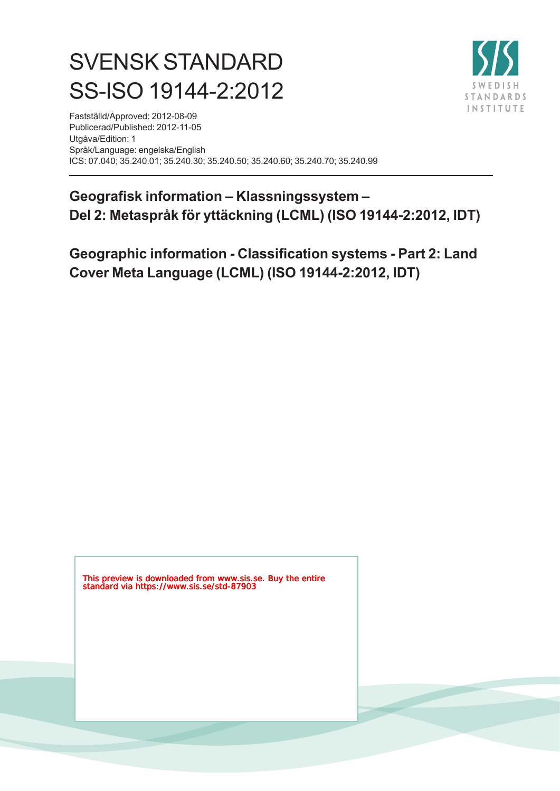# SVENSK STANDARD SS-ISO 19144-2:2012



Fastställd/Approved: 2012-08-09 Publicerad/Published: 2012-11-05 Utgåva/Edition: 1 Språk/Language: engelska/English ICS: 07.040; 35.240.01; 35.240.30; 35.240.50; 35.240.60; 35.240.70; 35.240.99

**Geografisk information – Klassningssystem – Del 2: Metaspråk för yttäckning (LCML) (ISO 19144‑2:2012, IDT)**

**Geographic information - Classification systems - Part 2: Land Cover Meta Language (LCML) (ISO 19144‑2:2012, IDT)**

This preview is downloaded from www.sis.se. Buy the entire standard via https://www.sis.se/std-87903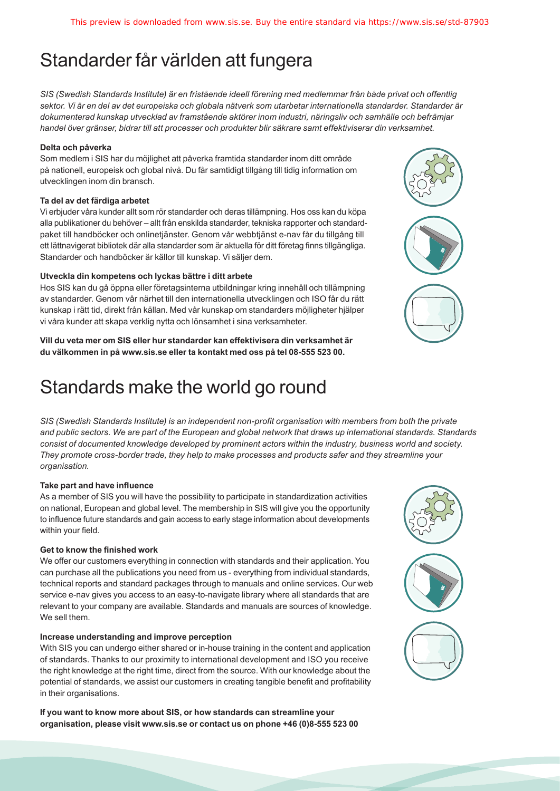## Standarder får världen att fungera

*SIS (Swedish Standards Institute) är en fristående ideell förening med medlemmar från både privat och offentlig sektor. Vi är en del av det europeiska och globala nätverk som utarbetar internationella standarder. Standarder är dokumenterad kunskap utvecklad av framstående aktörer inom industri, näringsliv och samhälle och befrämjar handel över gränser, bidrar till att processer och produkter blir säkrare samt effektiviserar din verksamhet.* 

#### **Delta och påverka**

Som medlem i SIS har du möjlighet att påverka framtida standarder inom ditt område på nationell, europeisk och global nivå. Du får samtidigt tillgång till tidig information om utvecklingen inom din bransch.

#### **Ta del av det färdiga arbetet**

Vi erbjuder våra kunder allt som rör standarder och deras tillämpning. Hos oss kan du köpa alla publikationer du behöver – allt från enskilda standarder, tekniska rapporter och standardpaket till handböcker och onlinetjänster. Genom vår webbtjänst e-nav får du tillgång till ett lättnavigerat bibliotek där alla standarder som är aktuella för ditt företag finns tillgängliga. Standarder och handböcker är källor till kunskap. Vi säljer dem.

#### **Utveckla din kompetens och lyckas bättre i ditt arbete**

Hos SIS kan du gå öppna eller företagsinterna utbildningar kring innehåll och tillämpning av standarder. Genom vår närhet till den internationella utvecklingen och ISO får du rätt kunskap i rätt tid, direkt från källan. Med vår kunskap om standarders möjligheter hjälper vi våra kunder att skapa verklig nytta och lönsamhet i sina verksamheter.

**Vill du veta mer om SIS eller hur standarder kan effektivisera din verksamhet är du välkommen in på www.sis.se eller ta kontakt med oss på tel 08-555 523 00.**

## Standards make the world go round

*SIS (Swedish Standards Institute) is an independent non-profit organisation with members from both the private and public sectors. We are part of the European and global network that draws up international standards. Standards consist of documented knowledge developed by prominent actors within the industry, business world and society. They promote cross-border trade, they help to make processes and products safer and they streamline your organisation.*

#### **Take part and have influence**

As a member of SIS you will have the possibility to participate in standardization activities on national, European and global level. The membership in SIS will give you the opportunity to influence future standards and gain access to early stage information about developments within your field.

#### **Get to know the finished work**

We offer our customers everything in connection with standards and their application. You can purchase all the publications you need from us - everything from individual standards, technical reports and standard packages through to manuals and online services. Our web service e-nav gives you access to an easy-to-navigate library where all standards that are relevant to your company are available. Standards and manuals are sources of knowledge. We sell them.

#### **Increase understanding and improve perception**

With SIS you can undergo either shared or in-house training in the content and application of standards. Thanks to our proximity to international development and ISO you receive the right knowledge at the right time, direct from the source. With our knowledge about the potential of standards, we assist our customers in creating tangible benefit and profitability in their organisations.

**If you want to know more about SIS, or how standards can streamline your organisation, please visit www.sis.se or contact us on phone +46 (0)8-555 523 00**



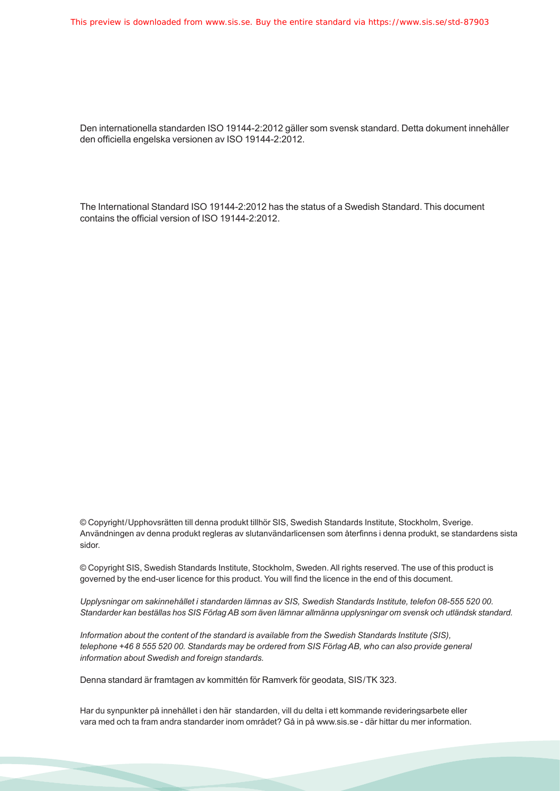Den internationella standarden ISO 19144-2:2012 gäller som svensk standard. Detta dokument innehåller den officiella engelska versionen av ISO 19144-2:2012.

The International Standard ISO 19144-2:2012 has the status of a Swedish Standard. This document contains the official version of ISO 19144-2:2012.

© Copyright / Upphovsrätten till denna produkt tillhör SIS, Swedish Standards Institute, Stockholm, Sverige. Användningen av denna produkt regleras av slutanvändarlicensen som återfinns i denna produkt, se standardens sista sidor.

© Copyright SIS, Swedish Standards Institute, Stockholm, Sweden. All rights reserved. The use of this product is governed by the end-user licence for this product. You will find the licence in the end of this document.

*Upplysningar om sakinnehållet i standarden lämnas av SIS, Swedish Standards Institute, telefon 08-555 520 00. Standarder kan beställas hos SIS Förlag AB som även lämnar allmänna upplysningar om svensk och utländsk standard.*

*Information about the content of the standard is available from the Swedish Standards Institute (SIS), telephone +46 8 555 520 00. Standards may be ordered from SIS Förlag AB, who can also provide general information about Swedish and foreign standards.*

Denna standard är framtagen av kommittén för Ramverk för geodata, SIS / TK 323.

Har du synpunkter på innehållet i den här standarden, vill du delta i ett kommande revideringsarbete eller vara med och ta fram andra standarder inom området? Gå in på www.sis.se - där hittar du mer information.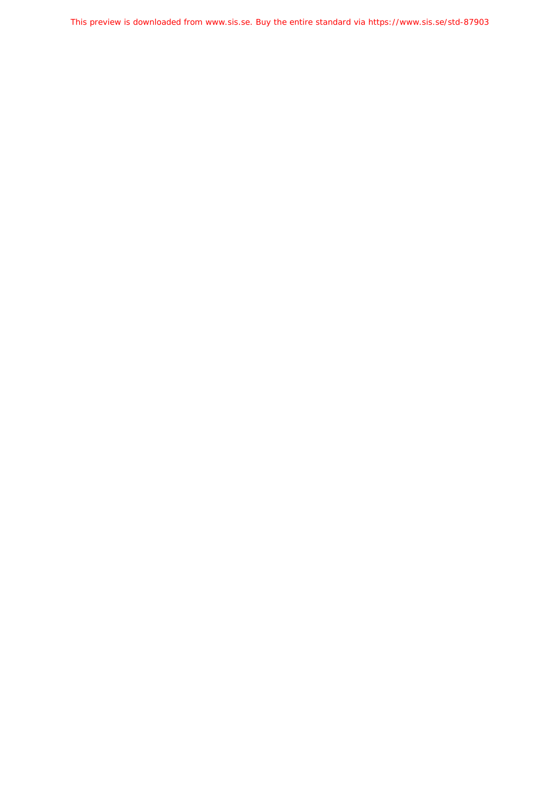This preview is downloaded from www.sis.se. Buy the entire standard via https://www.sis.se/std-87903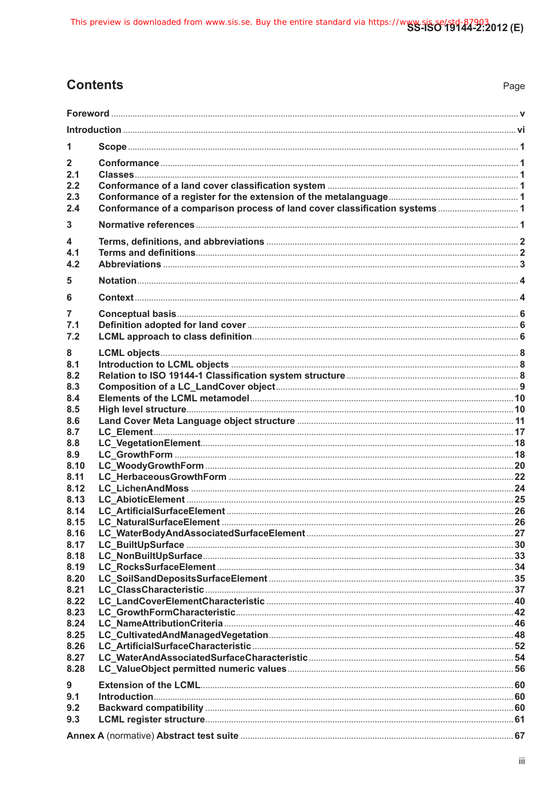| Page |
|------|
|      |

| 1    |  |
|------|--|
| 2    |  |
| 2.1  |  |
| 2.2  |  |
| 2.3  |  |
| 2.4  |  |
| 3    |  |
| 4    |  |
| 4.1  |  |
| 4.2  |  |
| 5    |  |
|      |  |
| 6    |  |
| 7    |  |
| 7.1  |  |
| 7.2  |  |
| 8    |  |
| 8.1  |  |
| 8.2  |  |
| 8.3  |  |
| 8.4  |  |
| 8.5  |  |
| 8.6  |  |
| 8.7  |  |
| 8.8  |  |
| 8.9  |  |
| 8.10 |  |
| 8.11 |  |
| 8.12 |  |
| 8.13 |  |
| 8.14 |  |
| 8.15 |  |
| 8.16 |  |
| 8.17 |  |
| 8.18 |  |
| 8.19 |  |
| 8.20 |  |
| 8.21 |  |
| 8.22 |  |
| 8.23 |  |
| 8.24 |  |
| 8.25 |  |
| 8.26 |  |
| 8.27 |  |
| 8.28 |  |
| 9    |  |
| 9.1  |  |
| 9.2  |  |
| 9.3  |  |
|      |  |
|      |  |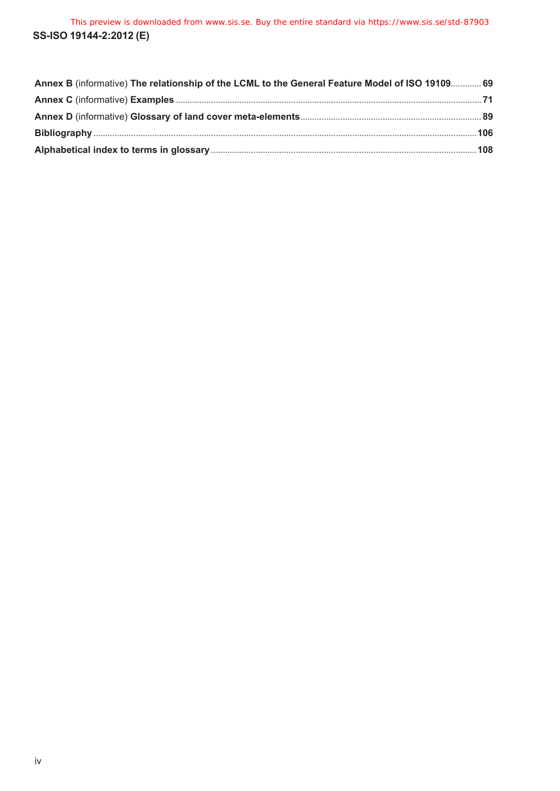| Annex B (informative) The relationship of the LCML to the General Feature Model of ISO 19109 69 |  |
|-------------------------------------------------------------------------------------------------|--|
|                                                                                                 |  |
|                                                                                                 |  |
|                                                                                                 |  |
|                                                                                                 |  |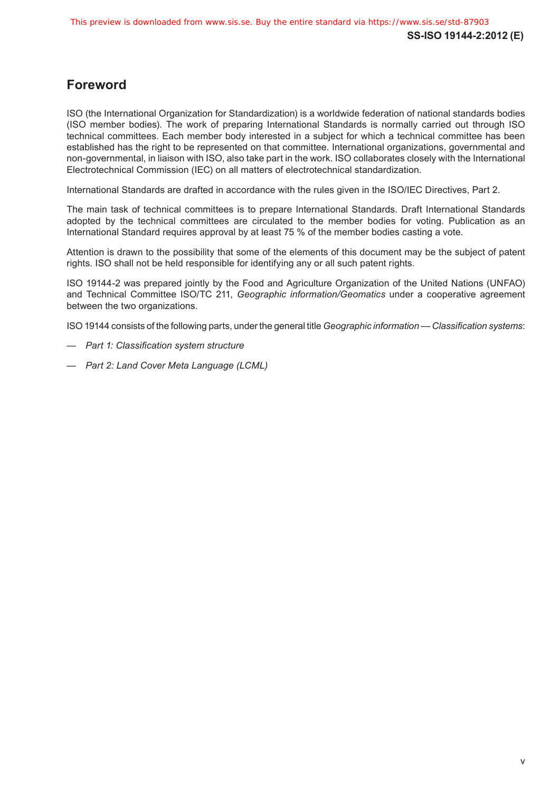## **Foreword**

ISO (the International Organization for Standardization) is a worldwide federation of national standards bodies (ISO member bodies). The work of preparing International Standards is normally carried out through ISO technical committees. Each member body interested in a subject for which a technical committee has been established has the right to be represented on that committee. International organizations, governmental and non-governmental, in liaison with ISO, also take part in the work. ISO collaborates closely with the International Electrotechnical Commission (IEC) on all matters of electrotechnical standardization.

International Standards are drafted in accordance with the rules given in the ISO/IEC Directives, Part 2.

The main task of technical committees is to prepare International Standards. Draft International Standards adopted by the technical committees are circulated to the member bodies for voting. Publication as an International Standard requires approval by at least 75 % of the member bodies casting a vote.

Attention is drawn to the possibility that some of the elements of this document may be the subject of patent rights. ISO shall not be held responsible for identifying any or all such patent rights.

ISO 19144-2 was prepared jointly by the Food and Agriculture Organization of the United Nations (UNFAO) and Technical Committee ISO/TC 211, *Geographic information/Geomatics* under a cooperative agreement between the two organizations.

ISO 19144 consists of the following parts, under the general title *Geographic information — Classification systems*:

- *Part 1: Classification system structure*
- *Part 2: Land Cover Meta Language (LCML)*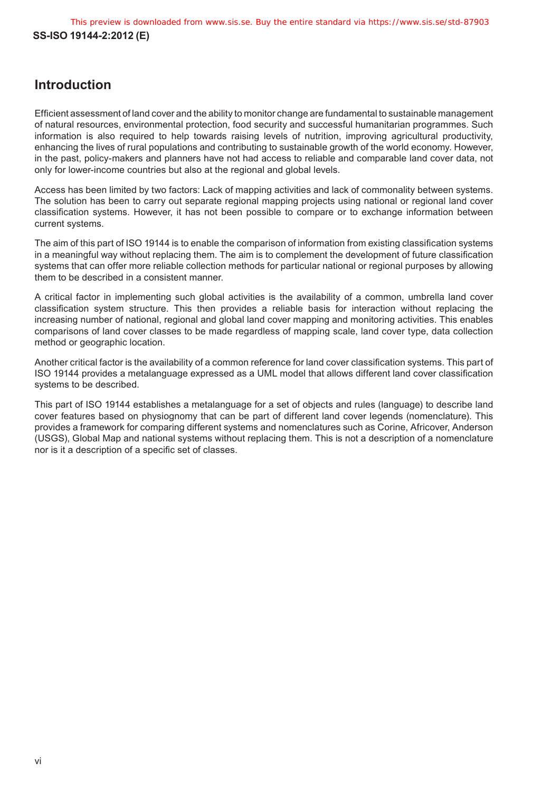## **Introduction**

Efficient assessment of land cover and the ability to monitor change are fundamental to sustainable management of natural resources, environmental protection, food security and successful humanitarian programmes. Such information is also required to help towards raising levels of nutrition, improving agricultural productivity, enhancing the lives of rural populations and contributing to sustainable growth of the world economy. However, in the past, policy-makers and planners have not had access to reliable and comparable land cover data, not only for lower-income countries but also at the regional and global levels.

Access has been limited by two factors: Lack of mapping activities and lack of commonality between systems. The solution has been to carry out separate regional mapping projects using national or regional land cover classification systems. However, it has not been possible to compare or to exchange information between current systems.

The aim of this part of ISO 19144 is to enable the comparison of information from existing classification systems in a meaningful way without replacing them. The aim is to complement the development of future classification systems that can offer more reliable collection methods for particular national or regional purposes by allowing them to be described in a consistent manner.

A critical factor in implementing such global activities is the availability of a common, umbrella land cover classification system structure. This then provides a reliable basis for interaction without replacing the increasing number of national, regional and global land cover mapping and monitoring activities. This enables comparisons of land cover classes to be made regardless of mapping scale, land cover type, data collection method or geographic location.

Another critical factor is the availability of a common reference for land cover classification systems. This part of ISO 19144 provides a metalanguage expressed as a UML model that allows different land cover classification systems to be described.

This part of ISO 19144 establishes a metalanguage for a set of objects and rules (language) to describe land cover features based on physiognomy that can be part of different land cover legends (nomenclature). This provides a framework for comparing different systems and nomenclatures such as Corine, Africover, Anderson (USGS), Global Map and national systems without replacing them. This is not a description of a nomenclature nor is it a description of a specific set of classes.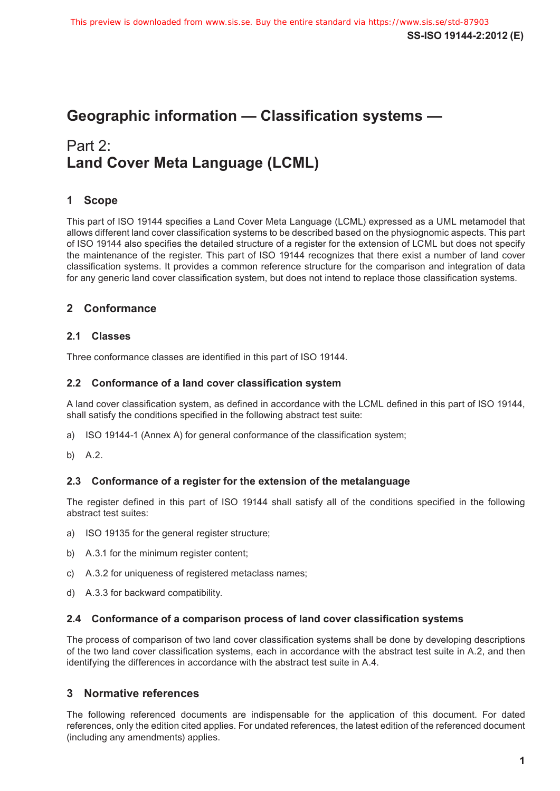## **Geographic information — Classification systems —**

## Part 2: **Land Cover Meta Language (LCML)**

## **1 Scope**

This part of ISO 19144 specifies a Land Cover Meta Language (LCML) expressed as a UML metamodel that allows different land cover classification systems to be described based on the physiognomic aspects. This part of ISO 19144 also specifies the detailed structure of a register for the extension of LCML but does not specify the maintenance of the register. This part of ISO 19144 recognizes that there exist a number of land cover classification systems. It provides a common reference structure for the comparison and integration of data for any generic land cover classification system, but does not intend to replace those classification systems.

## **2 Conformance**

## **2.1 Classes**

Three conformance classes are identified in this part of ISO 19144.

## **2.2 Conformance of a land cover classification system**

A land cover classification system, as defined in accordance with the LCML defined in this part of ISO 19144, shall satisfy the conditions specified in the following abstract test suite:

a) ISO 19144-1 (Annex A) for general conformance of the classification system;

b) A.2.

## **2.3 Conformance of a register for the extension of the metalanguage**

The register defined in this part of ISO 19144 shall satisfy all of the conditions specified in the following abstract test suites:

- a) ISO 19135 for the general register structure;
- b) A.3.1 for the minimum register content;
- c) A.3.2 for uniqueness of registered metaclass names;
- d) A.3.3 for backward compatibility.

## **2.4 Conformance of a comparison process of land cover classification systems**

The process of comparison of two land cover classification systems shall be done by developing descriptions of the two land cover classification systems, each in accordance with the abstract test suite in A.2, and then identifying the differences in accordance with the abstract test suite in A.4.

## **3 Normative references**

The following referenced documents are indispensable for the application of this document. For dated references, only the edition cited applies. For undated references, the latest edition of the referenced document (including any amendments) applies.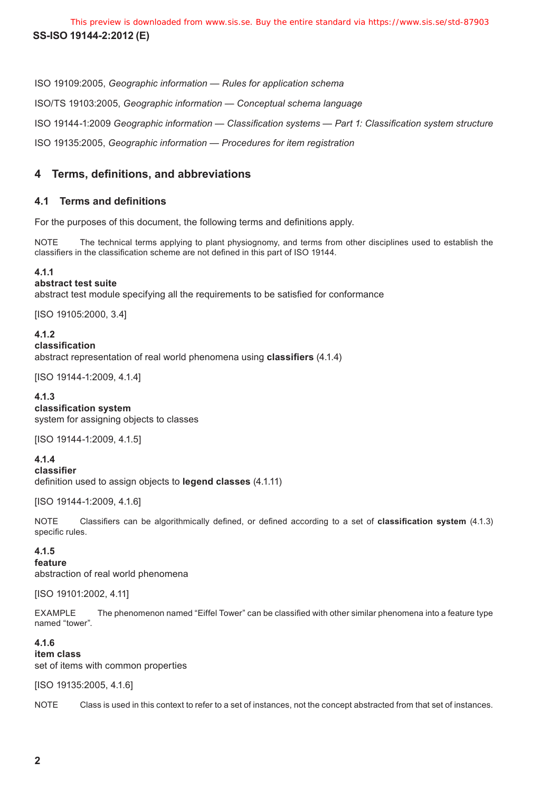**ISO 19144-2:2012(E) SS-ISO 19144-2:2012 (E)** This preview is downloaded from www.sis.se. Buy the entire standard via https://www.sis.se/std-87903

ISO 19109:2005, *Geographic information — Rules for application schema*

ISO/TS 19103:2005, *Geographic information — Conceptual schema language*

ISO 19144-1:2009 *Geographic information — Classification systems — Part 1: Classification system structure*

ISO 19135:2005, *Geographic information — Procedures for item registration*

## **4 Terms, definitions, and abbreviations**

## **4.1 Terms and definitions**

For the purposes of this document, the following terms and definitions apply.

NOTE The technical terms applying to plant physiognomy, and terms from other disciplines used to establish the classifiers in the classification scheme are not defined in this part of ISO 19144.

#### **4.1.1**

#### **abstract test suite**

abstract test module specifying all the requirements to be satisfied for conformance

[ISO 19105:2000, 3.4]

#### **4.1.2**

#### **classification**

abstract representation of real world phenomena using **classifiers** (4.1.4)

[ISO 19144-1:2009, 4.1.4]

#### **4.1.3**

#### **classification system** system for assigning objects to classes

[ISO 19144-1:2009, 4.1.5]

#### **4.1.4**

**classifier** definition used to assign objects to **legend classes** (4.1.11)

[ISO 19144-1:2009, 4.1.6]

NOTE Classifiers can be algorithmically defined, or defined according to a set of **classification system** (4.1.3) specific rules.

#### **4.1.5**

#### **feature**

abstraction of real world phenomena

#### [ISO 19101:2002, 4.11]

EXAMPLE The phenomenon named "Eiffel Tower" can be classified with other similar phenomena into a feature type named "tower".

#### **4.1.6**

**item class**

set of items with common properties

[ISO 19135:2005, 4.1.6]

NOTE Class is used in this context to refer to a set of instances, not the concept abstracted from that set of instances.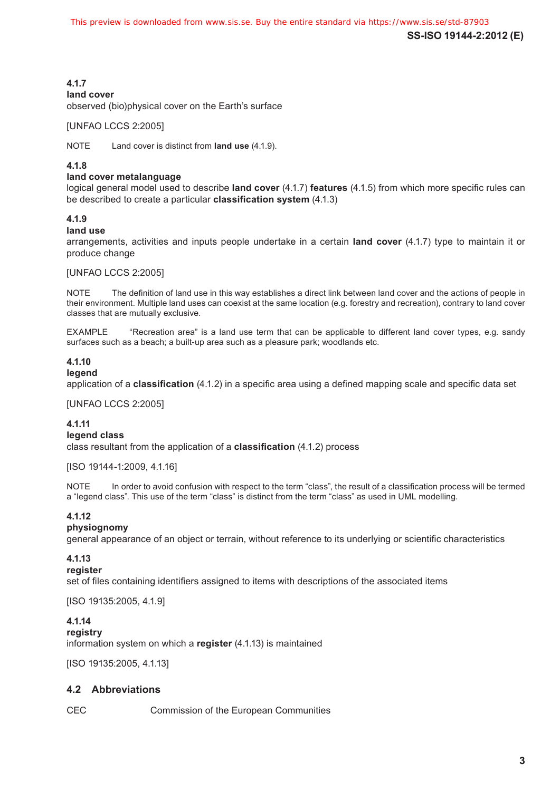**ISO 19144-2:2012(E) SS-ISO 19144-2:2012 (E)** This preview is downloaded from www.sis.se. Buy the entire standard via https://www.sis.se/std-87903

## **4.1.7**

#### **land cover**

observed (bio)physical cover on the Earth's surface

#### [UNFAO LCCS 2:2005]

NOTE Land cover is distinct from **land use** (4.1.9).

### **4.1.8**

#### **land cover metalanguage**

logical general model used to describe **land cover** (4.1.7) **features** (4.1.5) from which more specific rules can be described to create a particular **classification system** (4.1.3)

#### **4.1.9**

#### **land use**

arrangements, activities and inputs people undertake in a certain **land cover** (4.1.7) type to maintain it or produce change

#### [UNFAO LCCS 2:2005]

NOTE The definition of land use in this way establishes a direct link between land cover and the actions of people in their environment. Multiple land uses can coexist at the same location (e.g. forestry and recreation), contrary to land cover classes that are mutually exclusive.

EXAMPLE "Recreation area" is a land use term that can be applicable to different land cover types, e.g. sandy surfaces such as a beach; a built-up area such as a pleasure park; woodlands etc.

#### **4.1.10**

#### **legend**

application of a **classification** (4.1.2) in a specific area using a defined mapping scale and specific data set

#### [UNFAO LCCS 2:2005]

#### **4.1.11**

#### **legend class**

class resultant from the application of a **classification** (4.1.2) process

[ISO 19144-1:2009, 4.1.16]

NOTE In order to avoid confusion with respect to the term "class", the result of a classification process will be termed a "legend class". This use of the term "class" is distinct from the term "class" as used in UML modelling.

#### **4.1.12**

#### **physiognomy**

general appearance of an object or terrain, without reference to its underlying or scientific characteristics

#### **4.1.13**

#### **register**

set of files containing identifiers assigned to items with descriptions of the associated items

[ISO 19135:2005, 4.1.9]

## **4.1.14**

#### **registry**

information system on which a **register** (4.1.13) is maintained

[ISO 19135:2005, 4.1.13]

#### **4.2 Abbreviations**

CEC Commission of the European Communities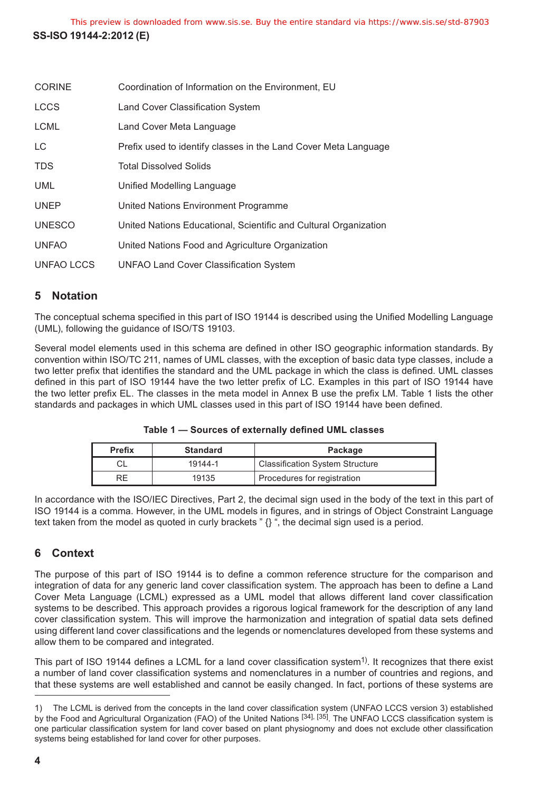| <b>CORINE</b> | Coordination of Information on the Environment, EU               |  |
|---------------|------------------------------------------------------------------|--|
| <b>LCCS</b>   | <b>Land Cover Classification System</b>                          |  |
| <b>LCML</b>   | Land Cover Meta Language                                         |  |
| LC            | Prefix used to identify classes in the Land Cover Meta Language  |  |
| <b>TDS</b>    | <b>Total Dissolved Solids</b>                                    |  |
| UML           | Unified Modelling Language                                       |  |
| <b>UNEP</b>   | United Nations Environment Programme                             |  |
| <b>UNESCO</b> | United Nations Educational, Scientific and Cultural Organization |  |
| <b>UNFAO</b>  | United Nations Food and Agriculture Organization                 |  |
| UNFAO LCCS    | <b>UNFAO Land Cover Classification System</b>                    |  |

## **5 Notation**

The conceptual schema specified in this part of ISO 19144 is described using the Unified Modelling Language (UML), following the guidance of ISO/TS 19103.

Several model elements used in this schema are defined in other ISO geographic information standards. By convention within ISO/TC 211, names of UML classes, with the exception of basic data type classes, include a two letter prefix that identifies the standard and the UML package in which the class is defined. UML classes defined in this part of ISO 19144 have the two letter prefix of LC. Examples in this part of ISO 19144 have the two letter prefix EL. The classes in the meta model in Annex B use the prefix LM. Table 1 lists the other standards and packages in which UML classes used in this part of ISO 19144 have been defined.

| Table 1 - Sources of externally defined UML classes |  |  |  |  |  |
|-----------------------------------------------------|--|--|--|--|--|
|-----------------------------------------------------|--|--|--|--|--|

| <b>Prefix</b> | <b>Standard</b> | Package                                |
|---------------|-----------------|----------------------------------------|
|               | 19144-1         | <b>Classification System Structure</b> |
| <b>RF</b>     | 19135           | Procedures for registration            |

In accordance with the ISO/IEC Directives, Part 2, the decimal sign used in the body of the text in this part of ISO 19144 is a comma. However, in the UML models in figures, and in strings of Object Constraint Language text taken from the model as quoted in curly brackets " {} ", the decimal sign used is a period.

## **6 Context**

The purpose of this part of ISO 19144 is to define a common reference structure for the comparison and integration of data for any generic land cover classification system. The approach has been to define a Land Cover Meta Language (LCML) expressed as a UML model that allows different land cover classification systems to be described. This approach provides a rigorous logical framework for the description of any land cover classification system. This will improve the harmonization and integration of spatial data sets defined using different land cover classifications and the legends or nomenclatures developed from these systems and allow them to be compared and integrated.

This part of ISO 19144 defines a LCML for a land cover classification system<sup>1)</sup>. It recognizes that there exist a number of land cover classification systems and nomenclatures in a number of countries and regions, and that these systems are well established and cannot be easily changed. In fact, portions of these systems are

<sup>1)</sup> The LCML is derived from the concepts in the land cover classification system (UNFAO LCCS version 3) established by the Food and Agricultural Organization (FAO) of the United Nations [34], [35]. The UNFAO LCCS classification system is one particular classification system for land cover based on plant physiognomy and does not exclude other classification systems being established for land cover for other purposes.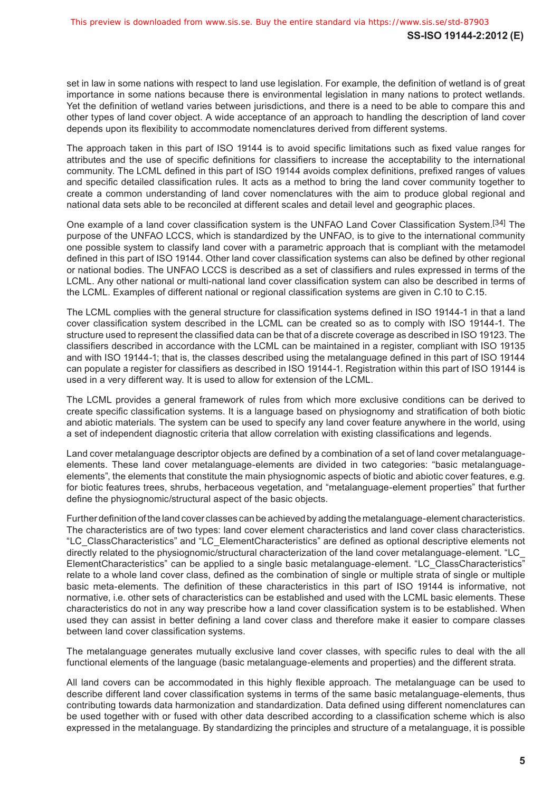set in law in some nations with respect to land use legislation. For example, the definition of wetland is of great importance in some nations because there is environmental legislation in many nations to protect wetlands. Yet the definition of wetland varies between jurisdictions, and there is a need to be able to compare this and other types of land cover object. A wide acceptance of an approach to handling the description of land cover depends upon its flexibility to accommodate nomenclatures derived from different systems.

The approach taken in this part of ISO 19144 is to avoid specific limitations such as fixed value ranges for attributes and the use of specific definitions for classifiers to increase the acceptability to the international community. The LCML defined in this part of ISO 19144 avoids complex definitions, prefixed ranges of values and specific detailed classification rules. It acts as a method to bring the land cover community together to create a common understanding of land cover nomenclatures with the aim to produce global regional and national data sets able to be reconciled at different scales and detail level and geographic places.

One example of a land cover classification system is the UNFAO Land Cover Classification System.[34] The purpose of the UNFAO LCCS, which is standardized by the UNFAO, is to give to the international community one possible system to classify land cover with a parametric approach that is compliant with the metamodel defined in this part of ISO 19144. Other land cover classification systems can also be defined by other regional or national bodies. The UNFAO LCCS is described as a set of classifiers and rules expressed in terms of the LCML. Any other national or multi-national land cover classification system can also be described in terms of the LCML. Examples of different national or regional classification systems are given in C.10 to C.15.

The LCML complies with the general structure for classification systems defined in ISO 19144-1 in that a land cover classification system described in the LCML can be created so as to comply with ISO 19144-1. The structure used to represent the classified data can be that of a discrete coverage as described in ISO 19123. The classifiers described in accordance with the LCML can be maintained in a register, compliant with ISO 19135 and with ISO 19144-1; that is, the classes described using the metalanguage defined in this part of ISO 19144 can populate a register for classifiers as described in ISO 19144-1. Registration within this part of ISO 19144 is used in a very different way. It is used to allow for extension of the LCML.

The LCML provides a general framework of rules from which more exclusive conditions can be derived to create specific classification systems. It is a language based on physiognomy and stratification of both biotic and abiotic materials. The system can be used to specify any land cover feature anywhere in the world, using a set of independent diagnostic criteria that allow correlation with existing classifications and legends.

Land cover metalanguage descriptor objects are defined by a combination of a set of land cover metalanguageelements. These land cover metalanguage-elements are divided in two categories: "basic metalanguageelements", the elements that constitute the main physiognomic aspects of biotic and abiotic cover features, e.g. for biotic features trees, shrubs, herbaceous vegetation, and "metalanguage-element properties" that further define the physiognomic/structural aspect of the basic objects.

Further definition of the land cover classes can be achieved by adding the metalanguage-element characteristics. The characteristics are of two types: land cover element characteristics and land cover class characteristics. "LC\_ClassCharacteristics" and "LC\_ElementCharacteristics" are defined as optional descriptive elements not directly related to the physiognomic/structural characterization of the land cover metalanguage-element. "LC\_ ElementCharacteristics" can be applied to a single basic metalanguage-element. "LC\_ClassCharacteristics" relate to a whole land cover class, defined as the combination of single or multiple strata of single or multiple basic meta-elements. The definition of these characteristics in this part of ISO 19144 is informative, not normative, i.e. other sets of characteristics can be established and used with the LCML basic elements. These characteristics do not in any way prescribe how a land cover classification system is to be established. When used they can assist in better defining a land cover class and therefore make it easier to compare classes between land cover classification systems.

The metalanguage generates mutually exclusive land cover classes, with specific rules to deal with the all functional elements of the language (basic metalanguage-elements and properties) and the different strata.

All land covers can be accommodated in this highly flexible approach. The metalanguage can be used to describe different land cover classification systems in terms of the same basic metalanguage-elements, thus contributing towards data harmonization and standardization. Data defined using different nomenclatures can be used together with or fused with other data described according to a classification scheme which is also expressed in the metalanguage. By standardizing the principles and structure of a metalanguage, it is possible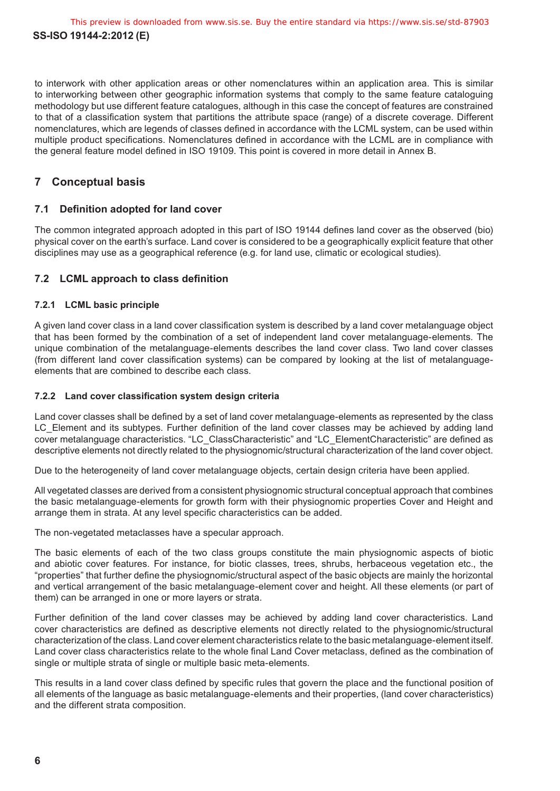to interwork with other application areas or other nomenclatures within an application area. This is similar to interworking between other geographic information systems that comply to the same feature cataloguing methodology but use different feature catalogues, although in this case the concept of features are constrained to that of a classification system that partitions the attribute space (range) of a discrete coverage. Different nomenclatures, which are legends of classes defined in accordance with the LCML system, can be used within multiple product specifications. Nomenclatures defined in accordance with the LCML are in compliance with the general feature model defined in ISO 19109. This point is covered in more detail in Annex B.

## **7 Conceptual basis**

## **7.1 Definition adopted for land cover**

The common integrated approach adopted in this part of ISO 19144 defines land cover as the observed (bio) physical cover on the earth's surface. Land cover is considered to be a geographically explicit feature that other disciplines may use as a geographical reference (e.g. for land use, climatic or ecological studies).

## **7.2 LCML approach to class definition**

#### **7.2.1 LCML basic principle**

A given land cover class in a land cover classification system is described by a land cover metalanguage object that has been formed by the combination of a set of independent land cover metalanguage-elements. The unique combination of the metalanguage-elements describes the land cover class. Two land cover classes (from different land cover classification systems) can be compared by looking at the list of metalanguageelements that are combined to describe each class.

#### **7.2.2 Land cover classification system design criteria**

Land cover classes shall be defined by a set of land cover metalanguage-elements as represented by the class LC Element and its subtypes. Further definition of the land cover classes may be achieved by adding land cover metalanguage characteristics. "LC\_ClassCharacteristic" and "LC\_ElementCharacteristic" are defined as descriptive elements not directly related to the physiognomic/structural characterization of the land cover object.

Due to the heterogeneity of land cover metalanguage objects, certain design criteria have been applied.

All vegetated classes are derived from a consistent physiognomic structural conceptual approach that combines the basic metalanguage-elements for growth form with their physiognomic properties Cover and Height and arrange them in strata. At any level specific characteristics can be added.

The non-vegetated metaclasses have a specular approach.

The basic elements of each of the two class groups constitute the main physiognomic aspects of biotic and abiotic cover features. For instance, for biotic classes, trees, shrubs, herbaceous vegetation etc., the "properties" that further define the physiognomic/structural aspect of the basic objects are mainly the horizontal and vertical arrangement of the basic metalanguage-element cover and height. All these elements (or part of them) can be arranged in one or more layers or strata.

Further definition of the land cover classes may be achieved by adding land cover characteristics. Land cover characteristics are defined as descriptive elements not directly related to the physiognomic/structural characterization of the class. Land cover element characteristics relate to the basic metalanguage-element itself. Land cover class characteristics relate to the whole final Land Cover metaclass, defined as the combination of single or multiple strata of single or multiple basic meta-elements.

This results in a land cover class defined by specific rules that govern the place and the functional position of all elements of the language as basic metalanguage-elements and their properties, (land cover characteristics) and the different strata composition.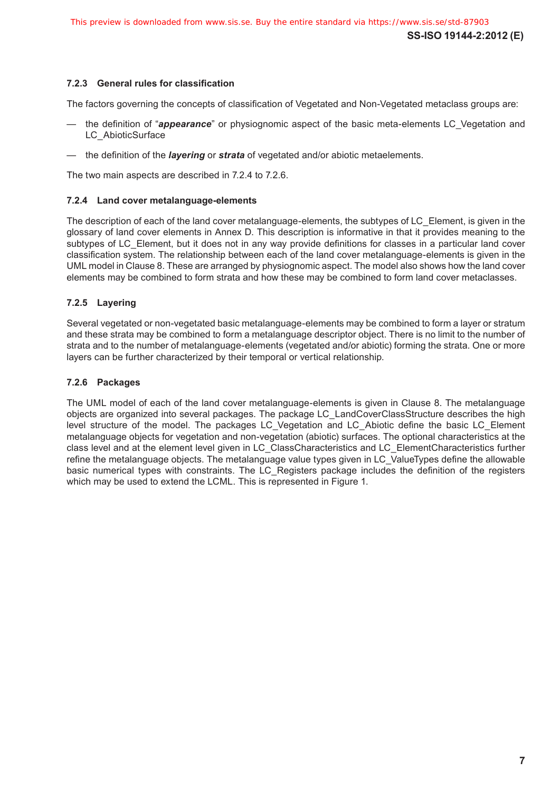### **7.2.3 General rules for classification**

The factors governing the concepts of classification of Vegetated and Non-Vegetated metaclass groups are:

- the definition of "*appearance*" or physiognomic aspect of the basic meta-elements LC\_Vegetation and LC\_AbioticSurface
- the definition of the *layering* or *strata* of vegetated and/or abiotic metaelements.

The two main aspects are described in 7.2.4 to 7.2.6.

#### **7.2.4 Land cover metalanguage-elements**

The description of each of the land cover metalanguage-elements, the subtypes of LC\_Element, is given in the glossary of land cover elements in Annex D. This description is informative in that it provides meaning to the subtypes of LC\_Element, but it does not in any way provide definitions for classes in a particular land cover classification system. The relationship between each of the land cover metalanguage-elements is given in the UML model in Clause 8. These are arranged by physiognomic aspect. The model also shows how the land cover elements may be combined to form strata and how these may be combined to form land cover metaclasses.

## **7.2.5 Layering**

Several vegetated or non-vegetated basic metalanguage-elements may be combined to form a layer or stratum and these strata may be combined to form a metalanguage descriptor object. There is no limit to the number of strata and to the number of metalanguage-elements (vegetated and/or abiotic) forming the strata. One or more layers can be further characterized by their temporal or vertical relationship.

## **7.2.6 Packages**

The UML model of each of the land cover metalanguage-elements is given in Clause 8. The metalanguage objects are organized into several packages. The package LC\_LandCoverClassStructure describes the high level structure of the model. The packages LC\_Vegetation and LC\_Abiotic define the basic LC\_Element metalanguage objects for vegetation and non-vegetation (abiotic) surfaces. The optional characteristics at the class level and at the element level given in LC\_ClassCharacteristics and LC\_ElementCharacteristics further refine the metalanguage objects. The metalanguage value types given in LC\_ValueTypes define the allowable basic numerical types with constraints. The LC\_Registers package includes the definition of the registers which may be used to extend the LCML. This is represented in Figure 1.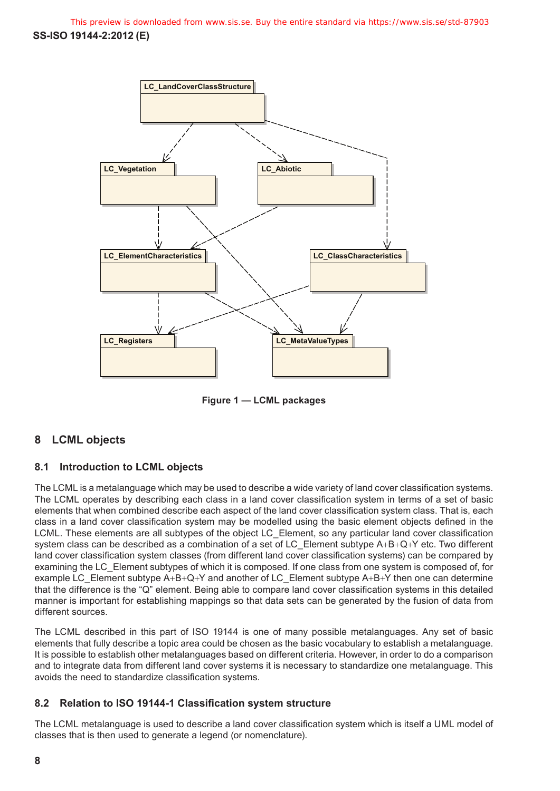

**Figure 1 — LCML packages**

## **8 LCML objects**

## **8.1 Introduction to LCML objects**

The LCML is a metalanguage which may be used to describe a wide variety of land cover classification systems. The LCML operates by describing each class in a land cover classification system in terms of a set of basic elements that when combined describe each aspect of the land cover classification system class. That is, each class in a land cover classification system may be modelled using the basic element objects defined in the LCML. These elements are all subtypes of the object LC\_Element, so any particular land cover classification system class can be described as a combination of a set of LC\_Element subtype A+B+Q+Y etc. Two different land cover classification system classes (from different land cover classification systems) can be compared by examining the LC\_Element subtypes of which it is composed. If one class from one system is composed of, for example LC\_Element subtype A+B+Q+Y and another of LC\_Element subtype A+B+Y then one can determine that the difference is the "Q" element. Being able to compare land cover classification systems in this detailed manner is important for establishing mappings so that data sets can be generated by the fusion of data from different sources.

The LCML described in this part of ISO 19144 is one of many possible metalanguages. Any set of basic elements that fully describe a topic area could be chosen as the basic vocabulary to establish a metalanguage. It is possible to establish other metalanguages based on different criteria. However, in order to do a comparison and to integrate data from different land cover systems it is necessary to standardize one metalanguage. This avoids the need to standardize classification systems.

## **8.2 Relation to ISO 19144-1 Classification system structure**

The LCML metalanguage is used to describe a land cover classification system which is itself a UML model of classes that is then used to generate a legend (or nomenclature).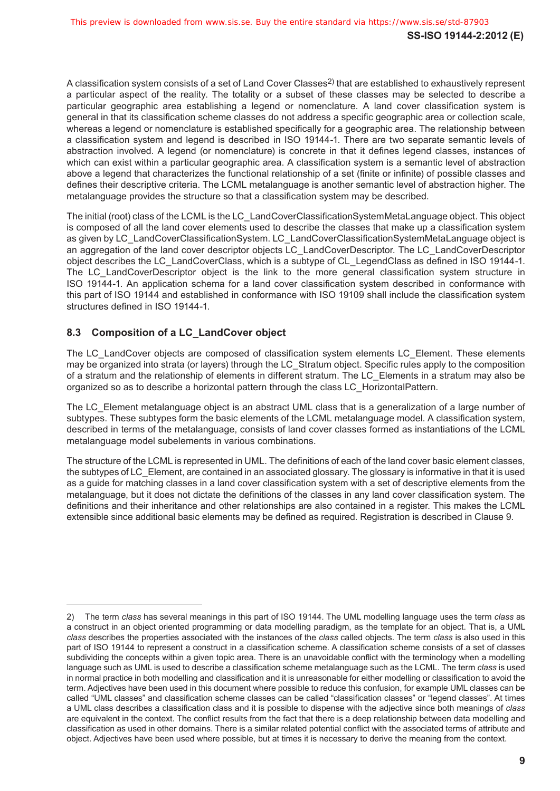A classification system consists of a set of Land Cover Classes<sup>2)</sup> that are established to exhaustively represent a particular aspect of the reality. The totality or a subset of these classes may be selected to describe a particular geographic area establishing a legend or nomenclature. A land cover classification system is general in that its classification scheme classes do not address a specific geographic area or collection scale, whereas a legend or nomenclature is established specifically for a geographic area. The relationship between a classification system and legend is described in ISO 19144-1. There are two separate semantic levels of abstraction involved. A legend (or nomenclature) is concrete in that it defines legend classes, instances of which can exist within a particular geographic area. A classification system is a semantic level of abstraction above a legend that characterizes the functional relationship of a set (finite or infinite) of possible classes and defines their descriptive criteria. The LCML metalanguage is another semantic level of abstraction higher. The metalanguage provides the structure so that a classification system may be described.

The initial (root) class of the LCML is the LC\_LandCoverClassificationSystemMetaLanguage object. This object is composed of all the land cover elements used to describe the classes that make up a classification system as given by LC\_LandCoverClassificationSystem. LC\_LandCoverClassificationSystemMetaLanguage object is an aggregation of the land cover descriptor objects LC\_LandCoverDescriptor. The LC\_LandCoverDescriptor object describes the LC\_LandCoverClass, which is a subtype of CL\_LegendClass as defined in ISO 19144-1. The LC LandCoverDescriptor object is the link to the more general classification system structure in ISO 19144-1. An application schema for a land cover classification system described in conformance with this part of ISO 19144 and established in conformance with ISO 19109 shall include the classification system structures defined in ISO 19144-1.

## **8.3 Composition of a LC\_LandCover object**

The LC\_LandCover objects are composed of classification system elements LC\_Element. These elements may be organized into strata (or layers) through the LC\_Stratum object. Specific rules apply to the composition of a stratum and the relationship of elements in different stratum. The LC\_Elements in a stratum may also be organized so as to describe a horizontal pattern through the class LC\_HorizontalPattern.

The LC\_Element metalanguage object is an abstract UML class that is a generalization of a large number of subtypes. These subtypes form the basic elements of the LCML metalanguage model. A classification system, described in terms of the metalanguage, consists of land cover classes formed as instantiations of the LCML metalanguage model subelements in various combinations.

The structure of the LCML is represented in UML. The definitions of each of the land cover basic element classes, the subtypes of LC\_Element, are contained in an associated glossary. The glossary is informative in that it is used as a guide for matching classes in a land cover classification system with a set of descriptive elements from the metalanguage, but it does not dictate the definitions of the classes in any land cover classification system. The definitions and their inheritance and other relationships are also contained in a register. This makes the LCML extensible since additional basic elements may be defined as required. Registration is described in Clause 9.

<sup>2)</sup> The term *class* has several meanings in this part of ISO 19144. The UML modelling language uses the term *class* as a construct in an object oriented programming or data modelling paradigm, as the template for an object. That is, a UML *class* describes the properties associated with the instances of the *class* called objects. The term *class* is also used in this part of ISO 19144 to represent a construct in a classification scheme. A classification scheme consists of a set of classes subdividing the concepts within a given topic area. There is an unavoidable conflict with the terminology when a modelling language such as UML is used to describe a classification scheme metalanguage such as the LCML. The term *class* is used in normal practice in both modelling and classification and it is unreasonable for either modelling or classification to avoid the term. Adjectives have been used in this document where possible to reduce this confusion, for example UML classes can be called "UML classes" and classification scheme classes can be called "classification classes" or "legend classes". At times a UML class describes a classification class and it is possible to dispense with the adjective since both meanings of *class* are equivalent in the context. The conflict results from the fact that there is a deep relationship between data modelling and classification as used in other domains. There is a similar related potential conflict with the associated terms of attribute and object. Adjectives have been used where possible, but at times it is necessary to derive the meaning from the context.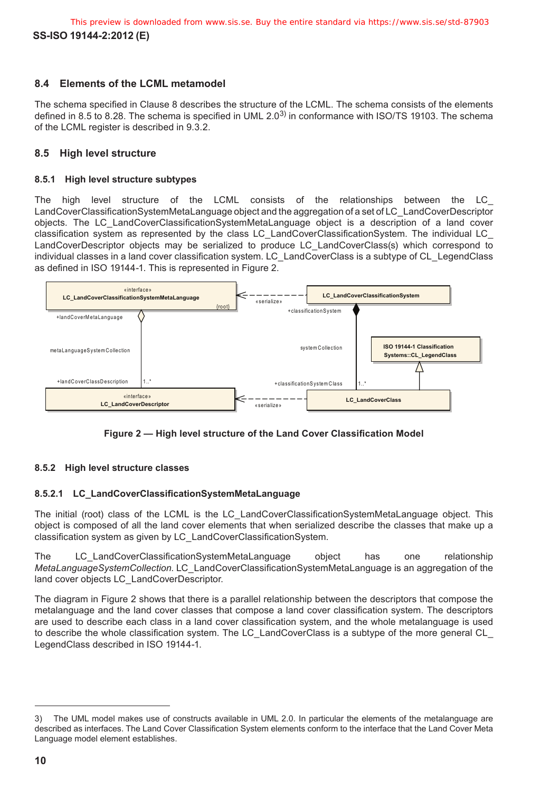## **8.4 Elements of the LCML metamodel**

The schema specified in Clause 8 describes the structure of the LCML. The schema consists of the elements defined in 8.5 to 8.28. The schema is specified in UML 2.0<sup>3)</sup> in conformance with ISO/TS 19103. The schema of the LCML register is described in 9.3.2.

## **8.5 High level structure**

#### **8.5.1 High level structure subtypes**

The high level structure of the LCML consists of the relationships between the LC\_ LandCoverClassificationSystemMetaLanguage object and the aggregation of a set of LC\_LandCoverDescriptor objects. The LC\_LandCoverClassificationSystemMetaLanguage object is a description of a land cover classification system as represented by the class LC\_LandCoverClassificationSystem. The individual LC\_ LandCoverDescriptor objects may be serialized to produce LC\_LandCoverClass(s) which correspond to individual classes in a land cover classification system. LC\_LandCoverClass is a subtype of CL\_LegendClass as defined in ISO 19144-1. This is represented in Figure 2.



**Figure 2 — High level structure of the Land Cover Classification Model**

## **8.5.2 High level structure classes**

## **8.5.2.1 LC\_LandCoverClassificationSystemMetaLanguage**

The initial (root) class of the LCML is the LC\_LandCoverClassificationSystemMetaLanguage object. This object is composed of all the land cover elements that when serialized describe the classes that make up a classification system as given by LC\_LandCoverClassificationSystem.

The LC\_LandCoverClassificationSystemMetaLanguage object has one relationship *MetaLanguageSystemCollection*. LC\_LandCoverClassificationSystemMetaLanguage is an aggregation of the land cover objects LC\_LandCoverDescriptor.

The diagram in Figure 2 shows that there is a parallel relationship between the descriptors that compose the metalanguage and the land cover classes that compose a land cover classification system. The descriptors are used to describe each class in a land cover classification system, and the whole metalanguage is used to describe the whole classification system. The LC\_LandCoverClass is a subtype of the more general CL\_ LegendClass described in ISO 19144-1.

<sup>3)</sup> The UML model makes use of constructs available in UML 2.0. In particular the elements of the metalanguage are described as interfaces. The Land Cover Classification System elements conform to the interface that the Land Cover Meta Language model element establishes.